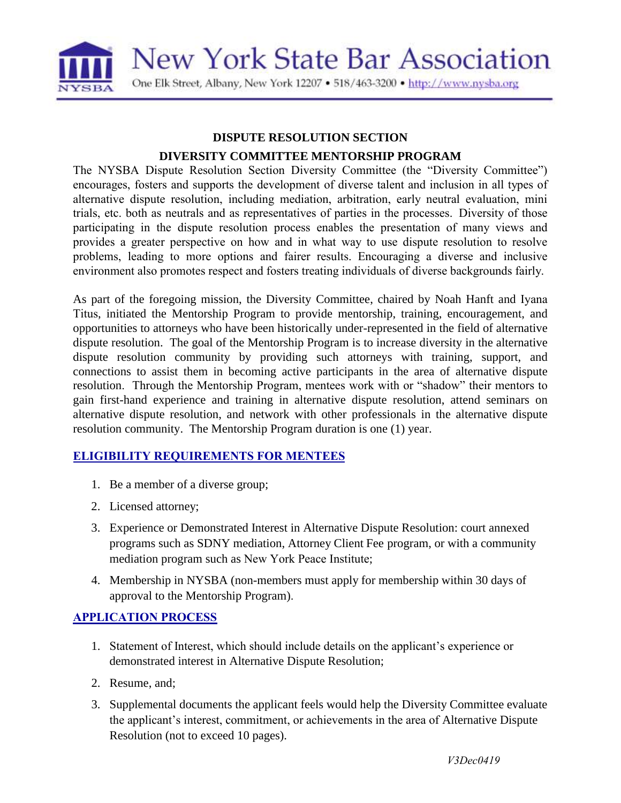

#### **DISPUTE RESOLUTION SECTION**

### **DIVERSITY COMMITTEE MENTORSHIP PROGRAM**

The NYSBA Dispute Resolution Section Diversity Committee (the "Diversity Committee") encourages, fosters and supports the development of diverse talent and inclusion in all types of alternative dispute resolution, including mediation, arbitration, early neutral evaluation, mini trials, etc. both as neutrals and as representatives of parties in the processes. Diversity of those participating in the dispute resolution process enables the presentation of many views and provides a greater perspective on how and in what way to use dispute resolution to resolve problems, leading to more options and fairer results. Encouraging a diverse and inclusive environment also promotes respect and fosters treating individuals of diverse backgrounds fairly.

As part of the foregoing mission, the Diversity Committee, chaired by Noah Hanft and Iyana Titus, initiated the Mentorship Program to provide mentorship, training, encouragement, and opportunities to attorneys who have been historically under-represented in the field of alternative dispute resolution. The goal of the Mentorship Program is to increase diversity in the alternative dispute resolution community by providing such attorneys with training, support, and connections to assist them in becoming active participants in the area of alternative dispute resolution. Through the Mentorship Program, mentees work with or "shadow" their mentors to gain first-hand experience and training in alternative dispute resolution, attend seminars on alternative dispute resolution, and network with other professionals in the alternative dispute resolution community. The Mentorship Program duration is one (1) year.

# **ELIGIBILITY REQUIREMENTS FOR MENTEES**

- 1. Be a member of a diverse group;
- 2. Licensed attorney;
- 3. Experience or Demonstrated Interest in Alternative Dispute Resolution: court annexed programs such as SDNY mediation, Attorney Client Fee program, or with a community mediation program such as New York Peace Institute;
- 4. Membership in NYSBA (non-members must apply for membership within 30 days of approval to the Mentorship Program).

# **APPLICATION PROCESS**

- 1. Statement of Interest, which should include details on the applicant's experience or demonstrated interest in Alternative Dispute Resolution;
- 2. Resume, and;
- 3. Supplemental documents the applicant feels would help the Diversity Committee evaluate the applicant's interest, commitment, or achievements in the area of Alternative Dispute Resolution (not to exceed 10 pages).